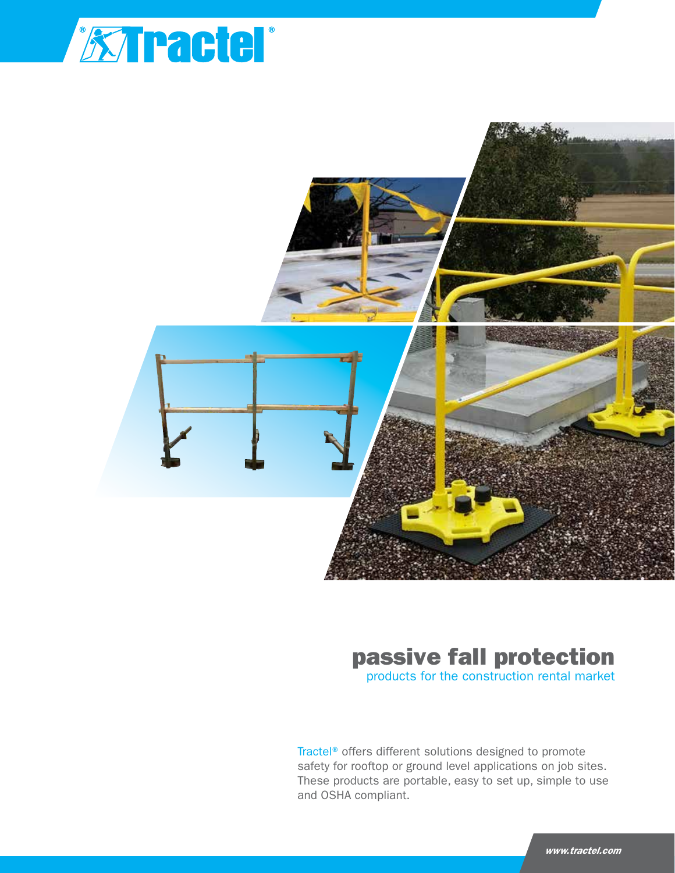



# passive fall protection

products for the construction rental market

Tractel® offers different solutions designed to promote safety for rooftop or ground level applications on job sites. These products are portable, easy to set up, simple to use and OSHA compliant.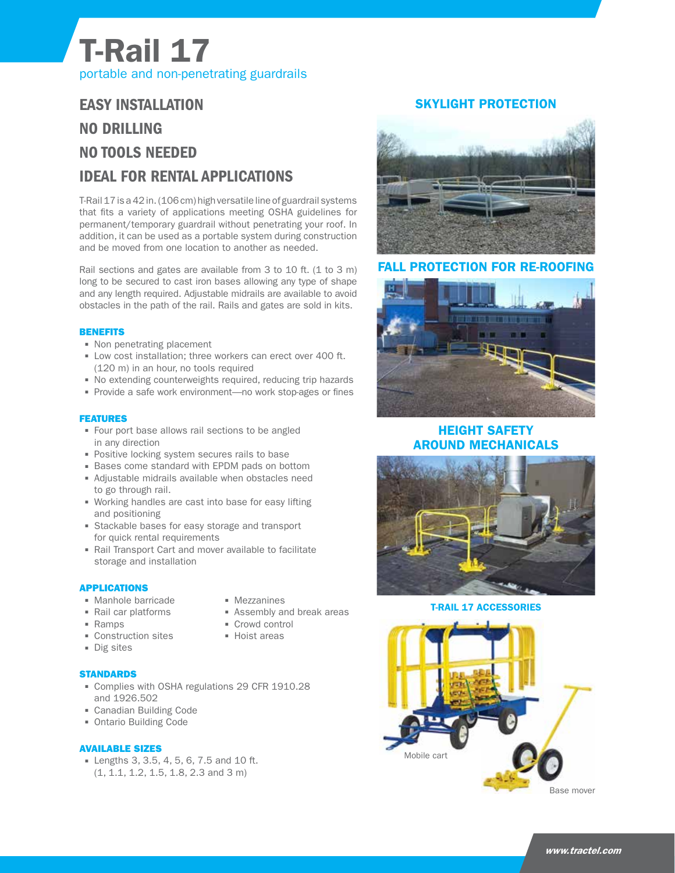# T-Rail 17 portable and non-penetrating guardrails

## EASY INSTALLATION NO DRILLING NO TOOLS NEEDED IDEAL FOR RENTAL APPLICATIONS

T-Rail 17 is a 42 in. (106 cm) high versatile line of guardrail systems that fits a variety of applications meeting OSHA guidelines for permanent/temporary guardrail without penetrating your roof. In addition, it can be used as a portable system during construction and be moved from one location to another as needed.

Rail sections and gates are available from 3 to 10 ft. (1 to 3 m) long to be secured to cast iron bases allowing any type of shape and any length required. Adjustable midrails are available to avoid obstacles in the path of the rail. Rails and gates are sold in kits.

#### **BENEFITS**

- Non penetrating placement
- Low cost installation; three workers can erect over 400 ft. (120 m) in an hour, no tools required
- No extending counterweights required, reducing trip hazards
- Provide a safe work environment—no work stop-ages or fines

#### FEATURES

- Four port base allows rail sections to be angled in any direction
- **Positive locking system secures rails to base**
- **Bases come standard with EPDM pads on bottom**
- Adjustable midrails available when obstacles need to go through rail.
- Working handles are cast into base for easy lifting and positioning
- **Stackable bases for easy storage and transport** for quick rental requirements
- Rail Transport Cart and mover available to facilitate storage and installation

#### APPLICATIONS

- **Manhole barricade**
- Rail car platforms
- Ramps
- **Construction sites**
- Dig sites

#### **STANDARDS**

- Complies with OSHA regulations 29 CFR 1910.28 and 1926.502
- Canadian Building Code
- Ontario Building Code

#### AVAILABLE SIZES

 Lengths 3, 3.5, 4, 5, 6, 7.5 and 10 ft. (1, 1.1, 1.2, 1.5, 1.8, 2.3 and 3 m)

- **Mezzanines**
- **Assembly and break areas**
- Crowd control
- **Hoist areas**

### SKYLIGHT PROTECTION



#### FALL PROTECTION FOR RE-ROOFING



### HEIGHT SAFETY AROUND MECHANICALS



T-RAIL 17 ACCESSORIES

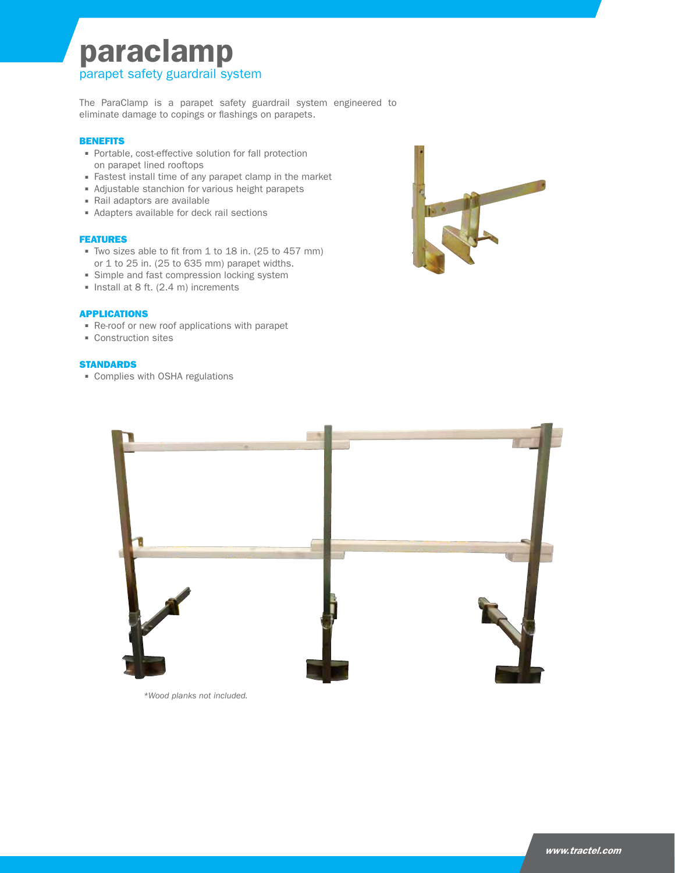## paraclamp parapet safety guardrail system

The ParaClamp is a parapet safety guardrail system engineered to eliminate damage to copings or flashings on parapets.

#### **BENEFITS**

- Portable, cost-effective solution for fall protection on parapet lined rooftops
- Fastest install time of any parapet clamp in the market
- Adjustable stanchion for various height parapets
- Rail adaptors are available
- Adapters available for deck rail sections

#### FEATURES

- Two sizes able to fit from 1 to 18 in. (25 to 457 mm) or 1 to 25 in. (25 to 635 mm) parapet widths.
- **Simple and fast compression locking system**
- $\blacksquare$  Install at 8 ft. (2.4 m) increments

#### APPLICATIONS

- Re-roof or new roof applications with parapet
- **Construction sites**

#### **STANDARDS**

Complies with OSHA regulations





*\*Wood planks not included.*